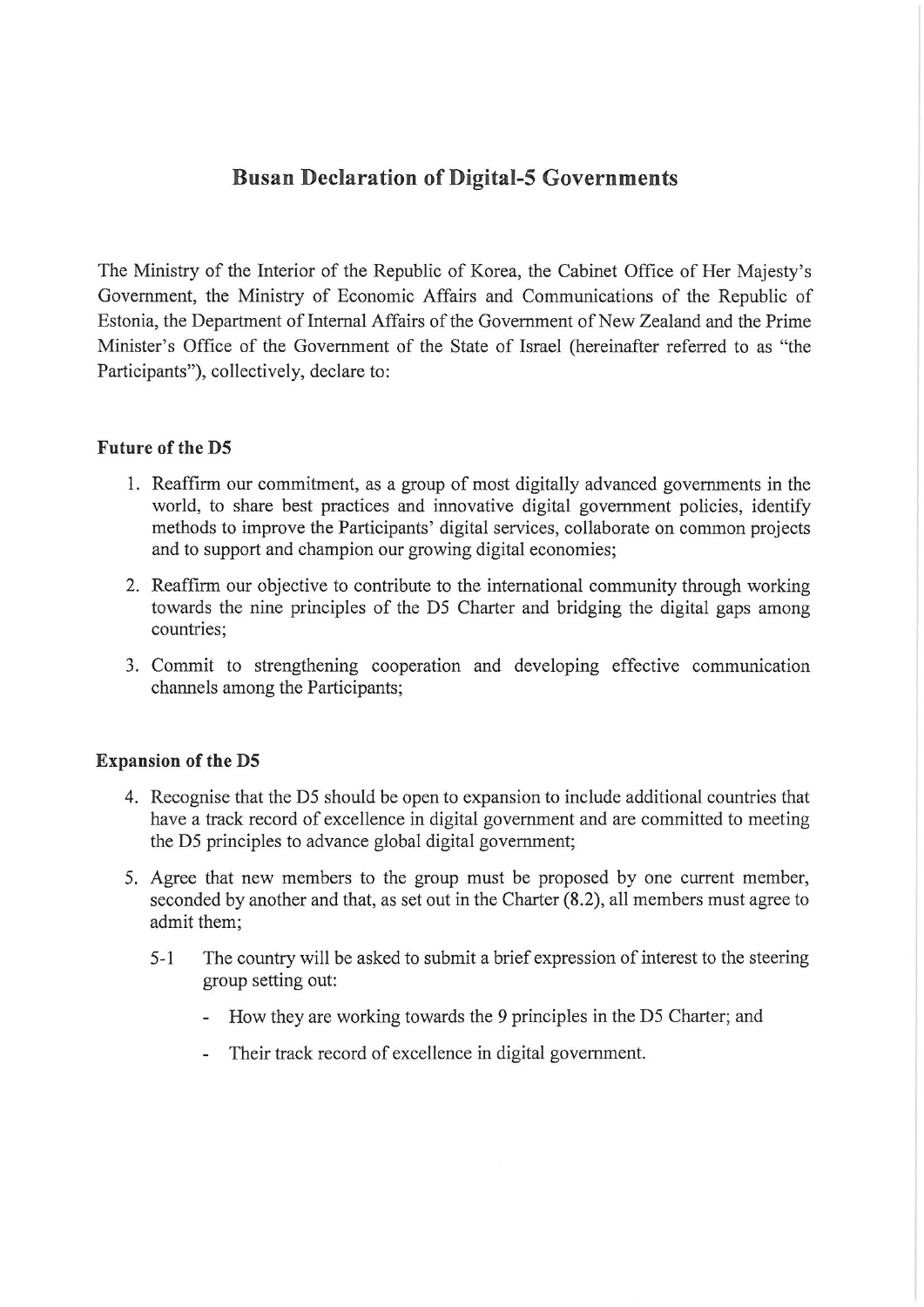### **Busan Declaration of Digital-5 Governments**

The Ministry of the Interior of the Republic of Korea, the Cabinet Office of Her Majesty's Government, the Ministry of Economic Affairs and Communications of the Republic of Estonia, the Department of Intemal Affairs of the Government of New Zealand and the Prime Minister's Office of the Govemment of the State of Israel (hereinafter referred to as "the Participants―), collectively, declare to:

The Ministry of the Interior of the Republic of Korea, the Cabinet Office of Her Majesty's Government, the Ministry of Economic Affairs and Communications of the Republic of Estonia, the Department of Internal Affairs of the Government of New Zealand and the Prime Minister's Office of the Government of the State of Israel (hereinafter referred to as "the Participants"), collectively, declare to:

### **Solution** in the D5 and the D5 and the D5 and the D5 and the D5 and the D5 and the D5 and the D5 and the D5 and the D5 and the D5 and the D5 and the D5 and the D5 and the D5 and the D5 and the D5 and the D5 and the D5 and

- 1. Reaffirm our commitment, as a group of most digitally advanced governments in the world, to share best practices and innovative digital government policies, identify methods to improve the Participants' digital services, collaborate on common projects and to support and champion our growing digital economies;
- 2. Reaffirm our objective to contribute to the international community through working towards the nine principles of the D5 Charter and bridging the digital gaps among  $\alpha$ . Countries, communication and developing effective communication channels among the Participants;
- 3. Commit to strengthening cooperation and developing effective communication channels among the Participants;

### $\mathbf{p}$  pansion of the D5

- 4. Recognise that the D5 should be open to expansion to include additional countries that have a track record of excellence in digital government and are committed to meeting the D5 principles to advance global digital government;
- 5. Agree that new members to the group must be proposed by one current member, seconded by another and that, as set out in the Charter (8.2), all members must agree to  $\alpha$  admit them;
	- $5 1$ The country will be asked to submit a brief expression of interest to the steering group setting out:
		- How they are working towards the 9 principles in the D5 Charter; and
		- Their track record of excellence in digital government.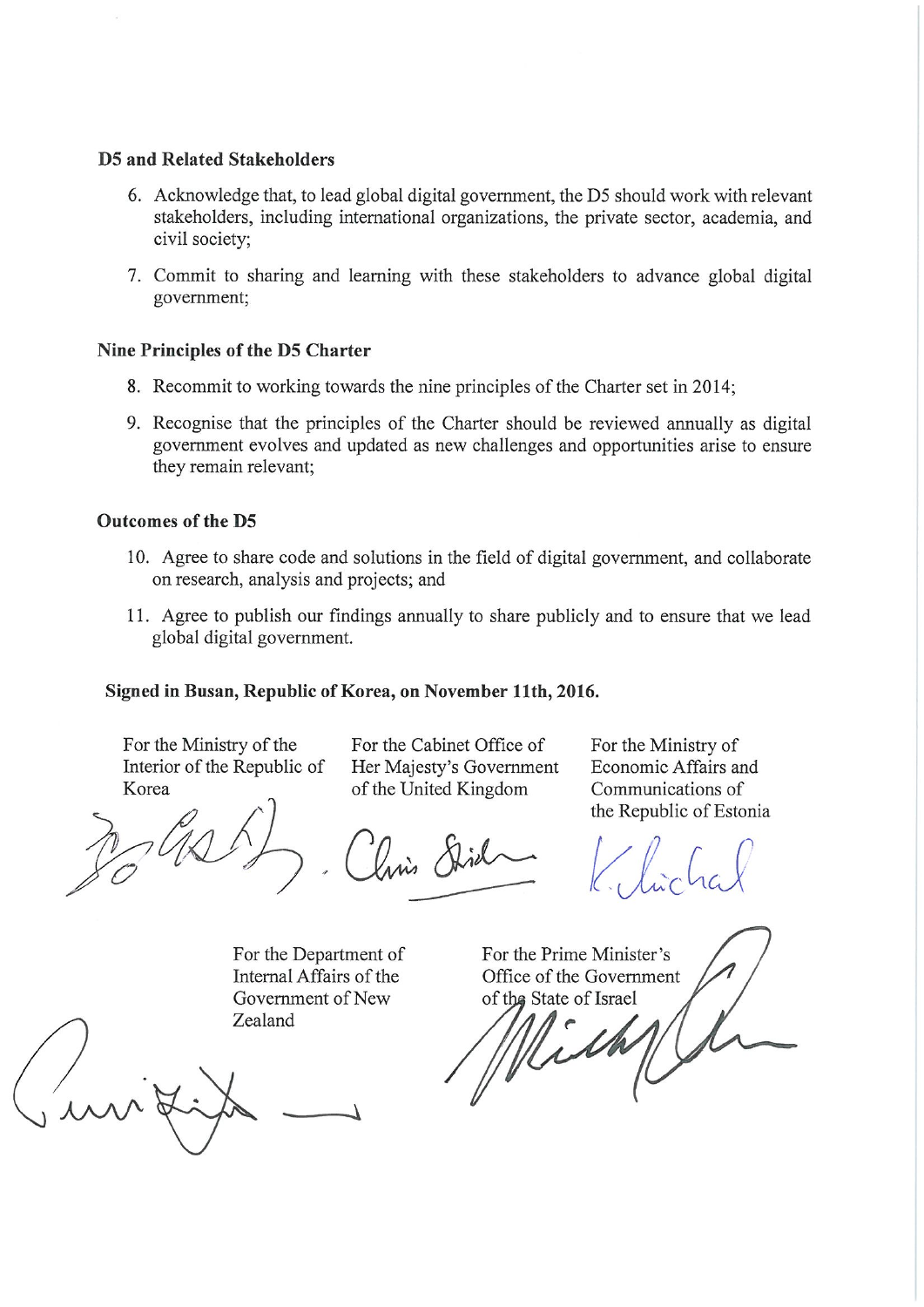#### **D5 and Related Stakeholders**

- 6. Acknowledge that, to lead global digital government, the D5 should work with relevant stakeholders, including international organizations, the private sector, academia, and civil society;
- 7. Commit to sharing and learning with these stakeholders to advance global digital government;

#### Nine Principles of the D5 Charter

- 8. Recommit to working towards the nine principles of the Charter set in 2014;
- 9. Recognise that the principles of the Charter should be reviewed annually as digital government evolves and updated as new challenges and opportunities arise to ensure they remain relevant;

# $100<sub>1</sub>$  agreement, and solutions in the  $10<sub>2</sub>$

- 10. Agree to share code and solutions in the field of digital government, and collaborate on research, analysis and projects; and
- 11. Agree to publish our findings annually to share publicly and to ensure that we lead global digital government.

### Signed in Busan, Republic of Korea, on November 11th, 2016.

For the Ministry of the Interior of the Republic of Korea

For the Cabinet Office of Her Majesty's Government of the United Kingdom

For the Ministry of Economic Affairs and Communications of the Republic of Estonia

For the Ministry of the Interior of the Republic of Korea For the Cabinet Office of Her Majesty's Government of the United Kingdom For the Ministry of Economic Affairs and Communications of the Republic of Estonia

For the Department of  $\mathcal{A}$  affairs of  $\mathcal{A}$ 

For the Department of Internal Affairs of the Government of New Zealand

For the Prime Minister's Office of the Government of the State of Israel

Mi